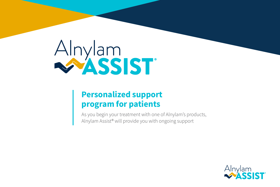

# **Personalized support program for patients**

As you begin your treatment with one of Alnylam's products, Alnylam Assist® will provide you with ongoing support

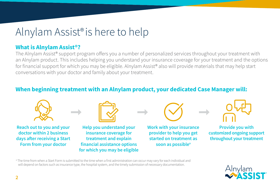# Alnylam Assist® is here to help

### **What is Alnylam Assist®?**

The Alnylam Assist® support program offers you a number of personalized services throughout your treatment with an Alnylam product. This includes helping you understand your insurance coverage for your treatment and the options for financial support for which you may be eligible. Alnylam Assist® also will provide materials that may help start conversations with your doctor and family about your treatment.

#### **When beginning treatment with an Alnylam product, your dedicated Case Manager will:**



**Reach out to you and your doctor within 2 business days after receiving a Start Form from your doctor**



**Help you understand your insurance coverage for treatment and explain financial assistance options for which you may be eligible**



**Work with your insurance provider to help you get started on treatment as soon as possible<sup>a</sup>**



**Provide you with customized ongoing support throughout your treatment**

<sup>o</sup> The time from when a Start Form is submitted to the time when a first administration can occur may vary for each individual and will depend on factors such as insurance type, the hospital system, and the timely submission of necessary documentation.

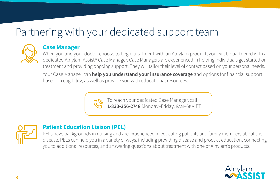# Partnering with your dedicated support team



#### **Case Manager**

When you and your doctor choose to begin treatment with an Alnylam product, you will be partnered with a dedicated Alnylam Assist® Case Manager. Case Managers are experienced in helping individuals get started on treatment and providing ongoing support. They will tailor their level of contact based on your personal needs.

Your Case Manager can **help you understand your insurance coverage** and options for financial support based on eligibility, as well as provide you with educational resources.



To reach your dedicated Case Manager, call **1-833-256-2748** Monday–Friday, 8am–6pm ET.



## **Patient Education Liaison (PEL)**

PELs have backgrounds in nursing and are experienced in educating patients and family members about their disease. PELs can help you in a variety of ways, including providing disease and product education, connecting you to additional resources, and answering questions about treatment with one of Alnylam's products.

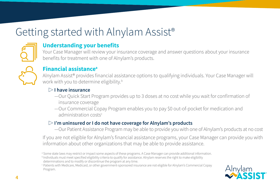# Getting started with Alnylam Assist®



### **Understanding your benefits**

Your Case Manager will review your insurance coverage and answer questions about your insurance benefits for treatment with one of Alnylam's products.



#### **Financial assistancea**

Alnylam Assist® provides financial assistance options to qualifying individuals. Your Case Manager will work with you to determine eligibility.<sup>b</sup>

#### ▷ **I have insurance**

- —Our Quick Start Program provides up to 3 doses at no cost while you wait for confirmation of insurance coverage
- —Our Commercial Copay Program enables you to pay \$0 out-of-pocket for medication and administration costs<sup>c</sup>

#### ▷ **I'm uninsured or I do not have coverage for Alnylam's products**

—Our Patient Assistance Program may be able to provide you with one of Alnylam's products at no cost

If you are not eligible for Alnylam's financial assistance programs, your Case Manager can provide you with information about other organizations that may be able to provide assistance.

<sup>c</sup> Patients with Medicare, Medicaid, or other government-sponsored insurance are not eligible for Alnylam's Commercial Copay Program.



a Some state laws may restrict or impact some aspects of these programs. A Case Manager can provide additional information.

<sup>b</sup> Individuals must meet specified eligibility criteria to qualify for assistance. Alnylam reserves the right to make eligibility

determinations and to modify or discontinue the program at any time.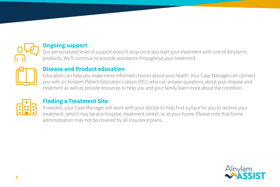

### **Ongoing support**

Our personalized level of support doesn't stop once you start your treatment with one of Alnylam's products. We'll continue to provide assistance throughout your treatment.



#### **Disease and Product education**

Education can help you make more informed choices about your health. Your Case Manager can connect you with an Alnylam Patient Education Liaison (PEL) who can answer questions about your disease and treatment as well as provide resources to help you and your family learn more about the condition.



# **Finding a Treatment Site**

If needed, your Case Manager will work with your doctor to help find a place for you to receive your treatment, which may be at a hospital, treatment center, or at your home. Please note that home administration may not be covered by all insurance plans.